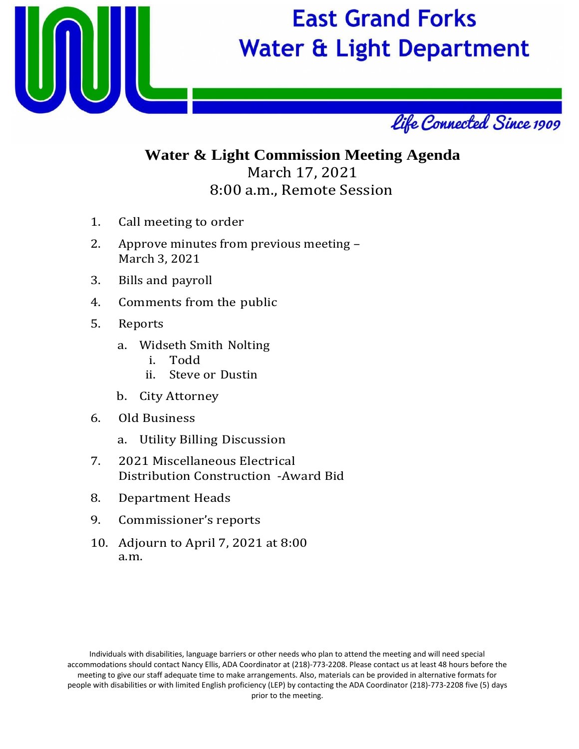

## **East Grand Forks Water & Light Department**



## **Water & Light Commission Meeting Agenda** March 17, 2021 8:00 a.m., Remote Session

- 1. Call meeting to order
- 2. Approve minutes from previous meeting March 3, 2021
- 3. Bills and payroll
- 4. Comments from the public
- 5. Reports
	- a. Widseth Smith Nolting
		- i. Todd
		- Steve or Dustin
	- b. City Attorney
- 6. Old Business
	- a. Utility Billing Discussion
- 7. 2021 Miscellaneous Electrical Distribution Construction -Award Bid
- 8. Department Heads
- 9. Commissioner's reports
- 10. Adjourn to April 7, 2021 at 8:00 a.m.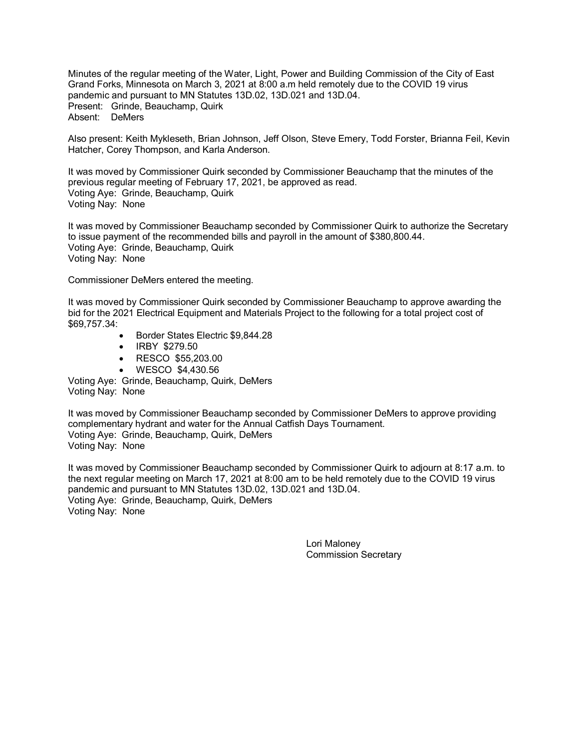Minutes of the regular meeting of the Water, Light, Power and Building Commission of the City of East Grand Forks, Minnesota on March 3, 2021 at 8:00 a.m held remotely due to the COVID 19 virus pandemic and pursuant to MN Statutes 13D.02, 13D.021 and 13D.04. Present: Grinde, Beauchamp, Quirk Absent: DeMers

Also present: Keith Mykleseth, Brian Johnson, Jeff Olson, Steve Emery, Todd Forster, Brianna Feil, Kevin Hatcher, Corey Thompson, and Karla Anderson.

It was moved by Commissioner Quirk seconded by Commissioner Beauchamp that the minutes of the previous regular meeting of February 17, 2021, be approved as read. Voting Aye: Grinde, Beauchamp, Quirk Voting Nay: None

It was moved by Commissioner Beauchamp seconded by Commissioner Quirk to authorize the Secretary to issue payment of the recommended bills and payroll in the amount of \$380,800.44. Voting Aye: Grinde, Beauchamp, Quirk Voting Nay: None

Commissioner DeMers entered the meeting.

It was moved by Commissioner Quirk seconded by Commissioner Beauchamp to approve awarding the bid for the 2021 Electrical Equipment and Materials Project to the following for a total project cost of \$69,757.34:

- Border States Electric \$9,844.28
- IRBY \$279.50
- RESCO \$55,203.00
- WESCO \$4,430.56

Voting Aye: Grinde, Beauchamp, Quirk, DeMers Voting Nay: None

It was moved by Commissioner Beauchamp seconded by Commissioner DeMers to approve providing complementary hydrant and water for the Annual Catfish Days Tournament. Voting Aye: Grinde, Beauchamp, Quirk, DeMers Voting Nay: None

It was moved by Commissioner Beauchamp seconded by Commissioner Quirk to adjourn at 8:17 a.m. to the next regular meeting on March 17, 2021 at 8:00 am to be held remotely due to the COVID 19 virus pandemic and pursuant to MN Statutes 13D.02, 13D.021 and 13D.04. Voting Aye: Grinde, Beauchamp, Quirk, DeMers Voting Nay: None

> Lori Maloney Commission Secretary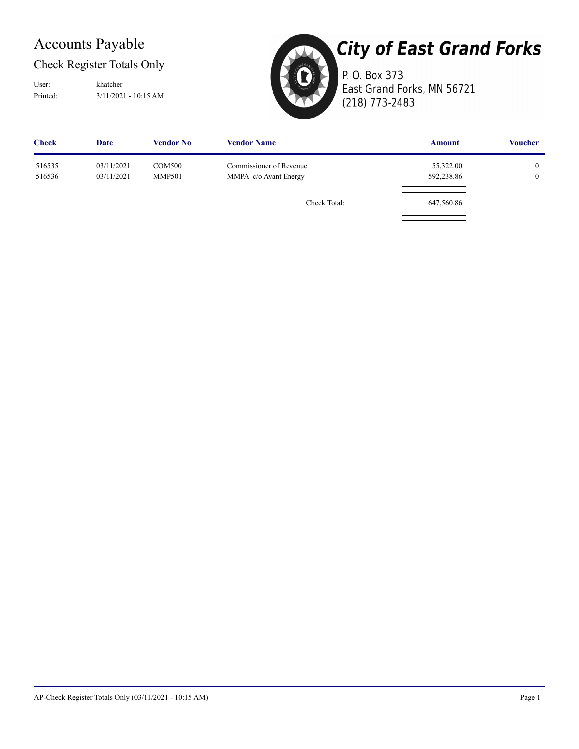## Accounts Payable

## Check Register Totals Only

Printed: 3/11/2021 - 10:15 AM User: khatcher



# **City of East Grand Forks**

P. O. Box 373 East Grand Forks, MN 56721 (218) 773-2483

| <b>Check</b>     | <b>Date</b>              | <b>Vendor No</b>               | <b>Vendor Name</b>                               | <b>Amount</b>           | <b>Voucher</b>               |
|------------------|--------------------------|--------------------------------|--------------------------------------------------|-------------------------|------------------------------|
| 516535<br>516536 | 03/11/2021<br>03/11/2021 | <b>COM500</b><br><b>MMP501</b> | Commissioner of Revenue<br>MMPA c/o Avant Energy | 55,322.00<br>592,238.86 | $\mathbf{0}$<br>$\mathbf{0}$ |
|                  |                          |                                | Check Total:                                     | 647,560.86              |                              |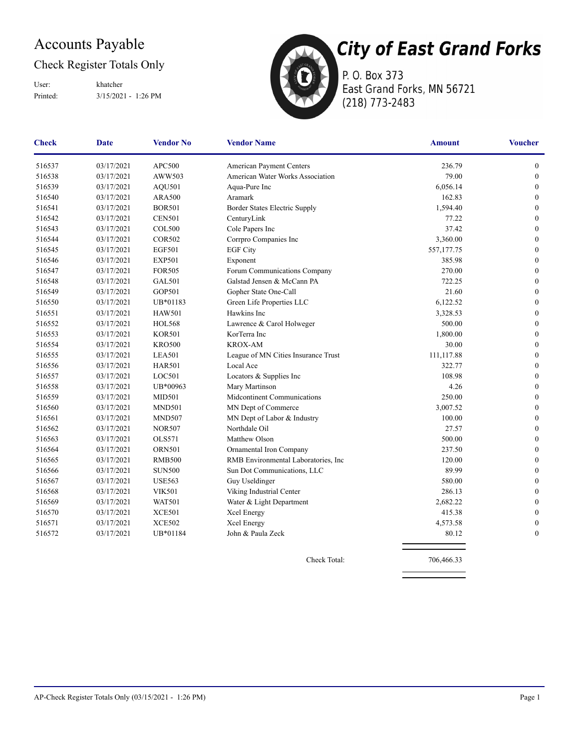## Accounts Payable

## Check Register Totals Only

Printed: 3/15/2021 - 1:26 PM User: khatcher



**City of East Grand Forks** P. O. Box 373

East Grand Forks, MN 56721 (218) 773-2483

| <b>Vendor Name</b><br><b>Vendor No</b><br><b>Check</b><br>Date |            |               | <b>Amount</b>                        | <b>Voucher</b> |                  |
|----------------------------------------------------------------|------------|---------------|--------------------------------------|----------------|------------------|
| 516537                                                         | 03/17/2021 | APC500        | American Payment Centers             | 236.79         | $\mathbf{0}$     |
| 516538                                                         | 03/17/2021 | AWW503        | American Water Works Association     | 79.00          | $\boldsymbol{0}$ |
| 516539                                                         | 03/17/2021 | AQU501        | Aqua-Pure Inc                        | 6,056.14       | $\boldsymbol{0}$ |
| 516540                                                         | 03/17/2021 | <b>ARA500</b> | Aramark                              | 162.83         | $\boldsymbol{0}$ |
| 516541                                                         | 03/17/2021 | <b>BOR501</b> | Border States Electric Supply        | 1,594.40       | $\boldsymbol{0}$ |
| 516542                                                         | 03/17/2021 | <b>CEN501</b> | CenturyLink                          | 77.22          | $\boldsymbol{0}$ |
| 516543                                                         | 03/17/2021 | <b>COL500</b> | Cole Papers Inc                      | 37.42          | $\boldsymbol{0}$ |
| 516544                                                         | 03/17/2021 | <b>COR502</b> | Corrpro Companies Inc                | 3,360.00       | $\boldsymbol{0}$ |
| 516545                                                         | 03/17/2021 | <b>EGF501</b> | <b>EGF City</b>                      | 557,177.75     | $\mathbf{0}$     |
| 516546                                                         | 03/17/2021 | <b>EXP501</b> | Exponent                             | 385.98         | $\boldsymbol{0}$ |
| 516547                                                         | 03/17/2021 | <b>FOR505</b> | Forum Communications Company         | 270.00         | $\boldsymbol{0}$ |
| 516548                                                         | 03/17/2021 | <b>GAL501</b> | Galstad Jensen & McCann PA           | 722.25         | $\mathbf{0}$     |
| 516549                                                         | 03/17/2021 | GOP501        | Gopher State One-Call                | 21.60          | $\boldsymbol{0}$ |
| 516550                                                         | 03/17/2021 | UB*01183      | Green Life Properties LLC            | 6,122.52       | $\mathbf{0}$     |
| 516551                                                         | 03/17/2021 | <b>HAW501</b> | Hawkins Inc                          | 3,328.53       | $\mathbf{0}$     |
| 516552                                                         | 03/17/2021 | <b>HOL568</b> | Lawrence & Carol Holweger            | 500.00         | $\boldsymbol{0}$ |
| 516553                                                         | 03/17/2021 | <b>KOR501</b> | KorTerra Inc                         | 1,800.00       | $\boldsymbol{0}$ |
| 516554                                                         | 03/17/2021 | <b>KRO500</b> | <b>KROX-AM</b>                       | 30.00          | $\boldsymbol{0}$ |
| 516555                                                         | 03/17/2021 | <b>LEA501</b> | League of MN Cities Insurance Trust  | 111,117.88     | $\boldsymbol{0}$ |
| 516556                                                         | 03/17/2021 | <b>HAR501</b> | Local Ace                            | 322.77         | $\boldsymbol{0}$ |
| 516557                                                         | 03/17/2021 | LOC501        | Locators & Supplies Inc              | 108.98         | $\boldsymbol{0}$ |
| 516558                                                         | 03/17/2021 | UB*00963      | Mary Martinson                       | 4.26           | $\boldsymbol{0}$ |
| 516559                                                         | 03/17/2021 | <b>MID501</b> | Midcontinent Communications          | 250.00         | $\boldsymbol{0}$ |
| 516560                                                         | 03/17/2021 | <b>MND501</b> | MN Dept of Commerce                  | 3,007.52       | $\boldsymbol{0}$ |
| 516561                                                         | 03/17/2021 | <b>MND507</b> | MN Dept of Labor & Industry          | 100.00         | $\boldsymbol{0}$ |
| 516562                                                         | 03/17/2021 | <b>NOR507</b> | Northdale Oil                        | 27.57          | $\boldsymbol{0}$ |
| 516563                                                         | 03/17/2021 | <b>OLS571</b> | Matthew Olson                        | 500.00         | $\mathbf{0}$     |
| 516564                                                         | 03/17/2021 | <b>ORN501</b> | Ornamental Iron Company              | 237.50         | $\boldsymbol{0}$ |
| 516565                                                         | 03/17/2021 | <b>RMB500</b> | RMB Environmental Laboratories, Inc. | 120.00         | $\mathbf{0}$     |
| 516566                                                         | 03/17/2021 | <b>SUN500</b> | Sun Dot Communications, LLC          | 89.99          | $\mathbf{0}$     |
| 516567                                                         | 03/17/2021 | <b>USE563</b> | Guy Useldinger                       | 580.00         | $\boldsymbol{0}$ |
| 516568                                                         | 03/17/2021 | <b>VIK501</b> | Viking Industrial Center             | 286.13         | $\mathbf{0}$     |
| 516569                                                         | 03/17/2021 | <b>WAT501</b> | Water & Light Department             | 2,682.22       | $\boldsymbol{0}$ |
| 516570                                                         | 03/17/2021 | <b>XCE501</b> | Xcel Energy                          | 415.38         | $\mathbf{0}$     |
| 516571                                                         | 03/17/2021 | <b>XCE502</b> | Xcel Energy                          | 4,573.58       | $\boldsymbol{0}$ |
| 516572                                                         | 03/17/2021 | UB*01184      | John & Paula Zeck                    | 80.12          | $\mathbf{0}$     |

Check Total: 706,466.33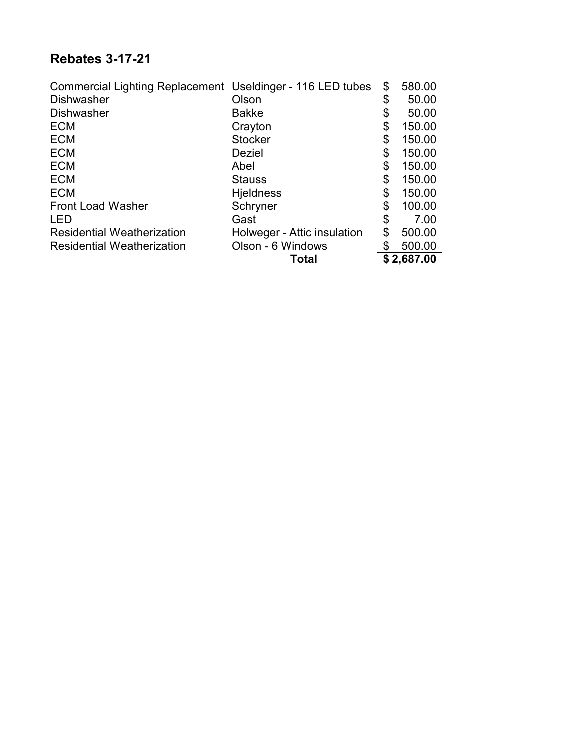## **Rebates 3-17-21**

| Commercial Lighting Replacement Useldinger - 116 LED tubes |                             | \$<br>580.00 |
|------------------------------------------------------------|-----------------------------|--------------|
| <b>Dishwasher</b>                                          | Olson                       | \$<br>50.00  |
| <b>Dishwasher</b>                                          | <b>Bakke</b>                | \$<br>50.00  |
| <b>ECM</b>                                                 | Crayton                     | \$<br>150.00 |
| <b>ECM</b>                                                 | <b>Stocker</b>              | \$<br>150.00 |
| <b>ECM</b>                                                 | <b>Deziel</b>               | \$<br>150.00 |
| <b>ECM</b>                                                 | Abel                        | \$<br>150.00 |
| <b>ECM</b>                                                 | <b>Stauss</b>               | \$<br>150.00 |
| <b>ECM</b>                                                 | <b>Hjeldness</b>            | \$<br>150.00 |
| <b>Front Load Washer</b>                                   | Schryner                    | \$<br>100.00 |
| <b>LED</b>                                                 | Gast                        | \$<br>7.00   |
| <b>Residential Weatherization</b>                          | Holweger - Attic insulation | \$<br>500.00 |
| <b>Residential Weatherization</b>                          | Olson - 6 Windows           | \$<br>500.00 |
|                                                            | Total                       | \$2,687.00   |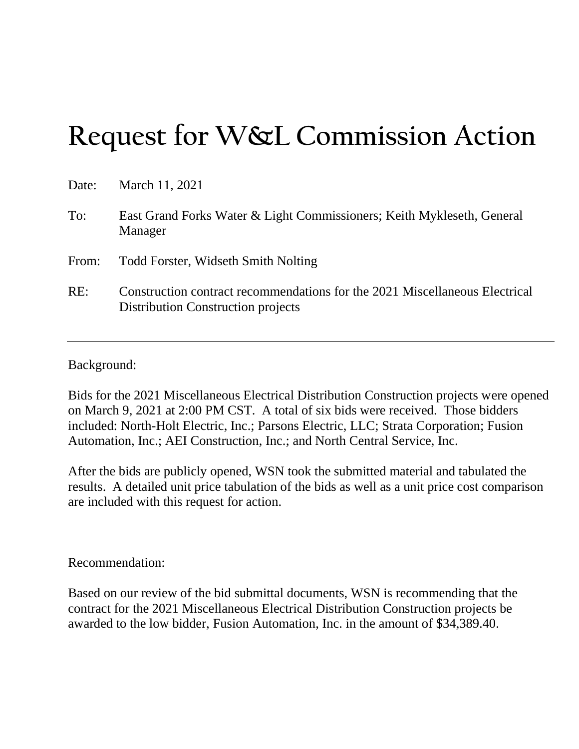# **Request for W&L Commission Action**

| Date: | March 11, 2021                                                                                                           |
|-------|--------------------------------------------------------------------------------------------------------------------------|
| To:   | East Grand Forks Water & Light Commissioners; Keith Mykleseth, General<br>Manager                                        |
| From: | <b>Todd Forster, Widseth Smith Nolting</b>                                                                               |
| RE:   | Construction contract recommendations for the 2021 Miscellaneous Electrical<br><b>Distribution Construction projects</b> |

Background:

Bids for the 2021 Miscellaneous Electrical Distribution Construction projects were opened on March 9, 2021 at 2:00 PM CST. A total of six bids were received. Those bidders included: North-Holt Electric, Inc.; Parsons Electric, LLC; Strata Corporation; Fusion Automation, Inc.; AEI Construction, Inc.; and North Central Service, Inc.

After the bids are publicly opened, WSN took the submitted material and tabulated the results. A detailed unit price tabulation of the bids as well as a unit price cost comparison are included with this request for action.

### Recommendation:

Based on our review of the bid submittal documents, WSN is recommending that the contract for the 2021 Miscellaneous Electrical Distribution Construction projects be awarded to the low bidder, Fusion Automation, Inc. in the amount of \$34,389.40.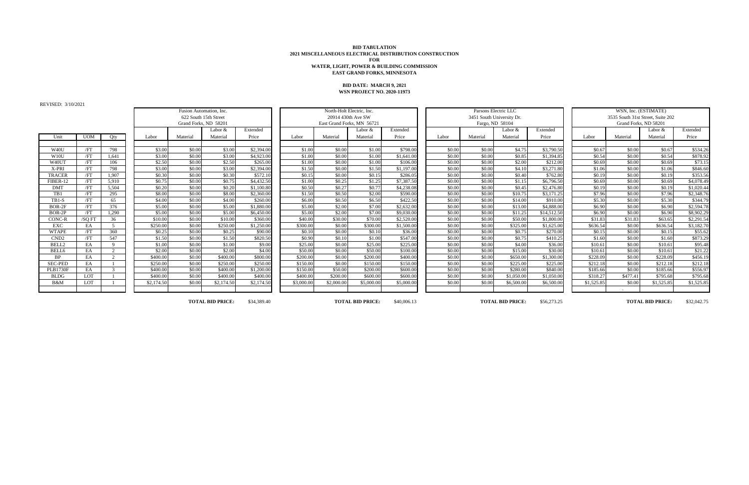REVISED: 3/10/2021

| Unit              | <b>UOM</b> | Qty            |
|-------------------|------------|----------------|
|                   |            |                |
| W <sub>40</sub> U | /FT        | 798            |
| W10U              | /FT        | 1,641          |
| W40UT             | /FT        | 106            |
| X-PRI             | /FT        | 798            |
| <b>TRACER</b>     | /FT        | 1,907          |
| FIBER-12          | /FT        | 5,910          |
| <b>DMT</b>        | /FT        | 5,504          |
| TB1               | /FT        | 295            |
| $TB1-S$           | /FT        | 65             |
| BOR-2F            | /FT        | 376            |
| BOR-2P            | /FT        | 1,290          |
| CONC-R            | /SQ FT     | 36             |
| <b>EXC</b>        | EA         | $\overline{5}$ |
| <b>WTAPE</b>      | /FT        | 360            |
| CND2              | /FT        | 547            |
| BELL2             | EA         | 9              |
| BELL6             | EA         | $\overline{c}$ |
| <b>BP</b>         | EA         | $\overline{c}$ |
| <b>SEC-PED</b>    | EA         | $\mathbf{1}$   |
| <b>PLB1730F</b>   | EA         | 3              |
| <b>BLDG</b>       | LOT        | $\mathbf{1}$   |
| $R\&M$            | LOT        | 1              |
|                   |            |                |

| $10111$ , $01101101$ |            |          |            |          |                         |            |            |                            |            |            |        |          |                           |             |            |                                   |            |            |
|----------------------|------------|----------|------------|----------|-------------------------|------------|------------|----------------------------|------------|------------|--------|----------|---------------------------|-------------|------------|-----------------------------------|------------|------------|
|                      |            |          |            |          | Fusion Automation, Inc. |            |            | North-Holt Electric, Inc.  |            |            |        |          | Parsons Electric LLC      |             |            | WSN, Inc. (ESTIMATE)              |            |            |
|                      |            |          |            |          | 622 South 15th Street   |            |            | 20914 430th Ave SW         |            |            |        |          | 3451 South University Dr. |             |            | 3535 South 31st Street, Suite 202 |            |            |
|                      |            |          |            |          | Grand Forks, ND 58201   |            |            | East Grand Forks, MN 56721 |            |            |        |          | Fargo, ND 58104           |             |            | Grand Forks, ND 58201             |            |            |
|                      |            |          |            |          | Labor $&$               | Extended   |            |                            | Labor $&$  | Extended   |        |          | Labor $&$                 | Extended    |            |                                   | Labor $&$  | Extended   |
| Unit                 | <b>UOM</b> | Oty      | Labor      | Material | Material                | Price      | Labor      | Material                   | Material   | Price      | Labor  | Material | Material                  | Price       | Labor      | Material                          | Material   | Price      |
|                      |            |          |            |          |                         |            |            |                            |            |            |        |          |                           |             |            |                                   |            |            |
| W <sub>40</sub> U    | /FT        | 798      | \$3.00     | \$0.00   | \$3.00                  | \$2,394.00 | \$1.00     | \$0.00                     | \$1.00     | \$798.00   | \$0.00 | \$0.00   | \$4.75                    | \$3,790.50  | \$0.67     | \$0.00                            | \$0.67     | \$534.26   |
| W10U                 | /FI        | 1,641    | \$3.00     | \$0.00   | \$3.00                  | \$4,923.00 | \$1.00     | \$0.00                     | \$1.00     | \$1,641.00 | \$0.00 | \$0.00   | \$0.85                    | \$1,394.85  | \$0.54     | \$0.00                            | \$0.54     | \$878.92   |
| W40UT                | /FI        | 106      | \$2.50     | \$0.00   | \$2.50                  | \$265.0    | \$1.00     | \$0.00                     | \$1.00     | \$106.00   | \$0.00 | \$0.00   | \$2.00                    | \$212.00    | \$0.69     | \$0.00                            | \$0.69     | \$73.15    |
| X-PRI                | /FT        | 798      | \$3.00     | \$0.00   | \$3.00                  | \$2,394.00 | \$1.50     | \$0.00                     | \$1.50     | \$1,197.00 | \$0.00 | \$0.00   | \$4.10                    | \$3,271.80  | \$1.06     | \$0.00                            | \$1.06     | \$846.60   |
| <b>TRACER</b>        | /FI        | 1,907    | \$0.30     | \$0.00   | \$0.30                  | \$572.10   | \$0.15     | \$0.00                     | \$0.15     | \$286.05   | \$0.00 | \$0.00   | \$0.40                    | \$762.80    | \$0.19     | \$0.00                            | \$0.19     | \$353.56   |
| FIBER-12             | /FI        | 5,910    | \$0.75     | \$0.00   | \$0.75                  | \$4,432.50 | \$1.00     | \$0.25                     | \$1.25     | \$7,387.50 | \$0.00 | \$0.00   | \$1.15                    | \$6,796.50  | \$0.69     | \$0.00                            | \$0.69     | \$4,078.49 |
| DMT                  | /FI        | 5,504    | \$0.20     | \$0.00   | \$0.20                  | \$1,100.80 | \$0.50     | \$0.27                     | \$0.77     | \$4,238.08 | \$0.00 | \$0.00   | \$0.45                    | \$2,476.80  | \$0.19     | \$0.00                            | \$0.19     | \$1,020.44 |
| TB1                  | /FT        | 295      | \$8.00     | \$0.00   | \$8.00                  | \$2,360.00 | \$1.50     | \$0.50                     | \$2.00     | \$590.00   | \$0.00 | \$0.00   | \$10.75                   | \$3,171.25  | \$7.96     | \$0.00                            | \$7.96     | \$2,348.76 |
| TB1-S                | /FT        | 65       | \$4.00     | \$0.00   | \$4.00                  | \$260.00   | \$6.00     | \$0.50                     | \$6.50     | \$422.50   | \$0.00 | \$0.00   | \$14.00                   | \$910.00    | \$5.30     | \$0.00                            | \$5.30     | \$344.79   |
| BOR-2F               | /FT        | 376      | \$5.00     | \$0.00   | \$5.00                  | \$1,880.0  | \$5.00     | \$2.00                     | \$7.00     | \$2,632.00 | \$0.00 | \$0.00   | \$13.00                   | \$4,888.00  | \$6.90     | \$0.00                            | \$6.90     | \$2,594.78 |
| BOR-2P               | /FT        | 1,290    | \$5.00     | \$0.00   | \$5.00                  | \$6,450.00 | \$5.00     | \$2.00                     | \$7.00     | \$9,030.00 | \$0.00 | \$0.00   | \$11.25                   | \$14,512.50 | \$6.90     | \$0.00                            | \$6.90     | \$8,902.29 |
| <b>CONC-R</b>        | /SOFT      | 36       | \$10.00    | \$0.00   | \$10.00                 | \$360.0    | \$40.00    | \$30.00                    | \$70.00    | \$2,520.00 | \$0.00 | \$0.00   | \$50.00                   | \$1,800.00  | \$31.83    | \$31.83                           | \$63.65    | \$2,291.54 |
| EXC                  | EA         |          | \$250.00   | \$0.00   | \$250.00                | \$1,250.0  | \$300.00   | \$0.00                     | \$300.00   | \$1,500.00 | \$0.00 | \$0.00   | \$325.00                  | \$1,625.00  | \$636.54   | \$0.00                            | \$636.54   | \$3,182.70 |
| <b>WTAPE</b>         | /FT        | 360      | \$0.25     | \$0.00   | \$0.25                  | \$90.00    | \$0.10     | \$0.00                     | \$0.10     | \$36.00    | \$0.00 | \$0.00   | \$0.75                    | \$270.00    | \$0.15     | \$0.00                            | \$0.15     | \$55.62    |
| CND <sub>2</sub>     | /FT        | 547      | \$1.50     | \$0.00   | \$1.50                  | \$820.50   | \$0.90     | \$0.10                     | \$1.00     | \$547.00   | \$0.00 | \$0.00   | \$0.75                    | \$410.25    | \$1.60     | \$0.00                            | \$1.60     | \$873.29   |
| BELL2                | EA         | $\Omega$ | \$1.00     | \$0.00   | \$1.00                  | \$9.00     | \$25.00    | \$0.00                     | \$25.00    | \$225.00   | \$0.00 | \$0.00   | \$4.00                    | \$36.00     | \$10.61    | \$0.00                            | \$10.61    | \$95.48    |
| BELL6                | EA         | $\gamma$ | \$2.00     | \$0.00   | \$2.00                  | \$4.00     | \$50.00    | \$0.00                     | \$50.00    | \$100.00   | \$0.00 | \$0.00   | \$15.00                   | \$30.00     | \$10.61    | \$0.00                            | \$10.61    | \$21.22    |
| BP                   | EA         | $\gamma$ | \$400.00   | \$0.00   | \$400.00                | \$800.00   | \$200.00   | \$0.00                     | \$200.00   | \$400.00   | \$0.00 | \$0.00   | \$650.00                  | \$1,300.00  | \$228.09   | \$0.00                            | \$228.09   | \$456.19   |
| <b>SEC-PED</b>       | EA         |          | \$250.00   | \$0.00   | \$250.00                | \$250.00   | \$150.00   | \$0.00                     | \$150.00   | \$150.00   | \$0.00 | \$0.00   | \$225.00                  | \$225.00    | \$212.18   | \$0.00                            | \$212.18   | \$212.18   |
| <b>PLB1730F</b>      | EA         |          | \$400.00   | \$0.00   | \$400.00                | \$1,200.0  | \$150.00   | \$50.00                    | \$200.00   | \$600.00   | \$0.00 | \$0.00   | \$280.00                  | \$840.00    | \$185.66   | \$0.00                            | \$185.66   | \$556.97   |
| <b>BLDG</b>          | <b>LOT</b> |          | \$400.00   | \$0.00   | \$400.00                | \$400.00   | \$400.00   | \$200.00                   | \$600.00   | \$600.00   | \$0.00 | \$0.00   | \$1,050.00                | \$1,050.00  | \$318.27   | \$477.41                          | \$795.68   | \$795.68   |
| B&M                  | LOT        |          | \$2,174.50 | \$0.00   | \$2,174.50              | \$2,174.50 | \$3,000.00 | \$2,000.00                 | \$5,000.00 | \$5,000.00 | \$0.00 | \$0.00   | \$6,500.00                | \$6,500.00  | \$1,525.85 | \$0.00                            | \$1,525.85 | \$1,525.85 |
|                      |            |          |            |          |                         |            |            |                            |            |            |        |          |                           |             |            |                                   |            |            |
|                      |            |          |            |          |                         |            |            |                            |            |            |        |          |                           |             |            |                                   |            |            |

**\$34,389.40 TOTAL BID PRICE:** \$40,006.13 **\$40,006.13 TOTAL BID PRICE:** \$56,273.25 **\$32,042.75 TOTAL BID PRICE:** \$32,042.75

#### **BID DATE: MARCH 9, 2021 WSN PROJECT NO. 2020-11973**

|                 |            | WSN, Inc. (ESTIMATE) |                                   |            |  |  |  |  |  |  |  |  |  |
|-----------------|------------|----------------------|-----------------------------------|------------|--|--|--|--|--|--|--|--|--|
|                 |            |                      | 3535 South 31st Street, Suite 202 |            |  |  |  |  |  |  |  |  |  |
|                 |            |                      | Grand Forks, ND 58201             |            |  |  |  |  |  |  |  |  |  |
|                 |            |                      | Labor &                           | Extended   |  |  |  |  |  |  |  |  |  |
|                 | Labor      | Material             | Material                          | Price      |  |  |  |  |  |  |  |  |  |
|                 |            |                      |                                   |            |  |  |  |  |  |  |  |  |  |
| 50              | \$0.67     | \$0.00               | \$0.67                            | \$534.26   |  |  |  |  |  |  |  |  |  |
| 85              | \$0.54     | \$0.00               | \$0.54                            | \$878.92   |  |  |  |  |  |  |  |  |  |
| $00\,$          | \$0.69     | \$0.00               | \$0.69                            | \$73.15    |  |  |  |  |  |  |  |  |  |
| 80              | \$1.06     | \$0.00               | \$1.06                            | \$846.60   |  |  |  |  |  |  |  |  |  |
| 80              | \$0.19     | \$0.00               | \$0.19                            | \$353.56   |  |  |  |  |  |  |  |  |  |
| 50              | \$0.69     | \$0.00               | \$0.69                            | \$4,078.49 |  |  |  |  |  |  |  |  |  |
| 80              | \$0.19     | \$0.00               | \$0.19                            | \$1,020.44 |  |  |  |  |  |  |  |  |  |
| $\overline{25}$ | \$7.96     | \$0.00               | \$7.96                            | \$2,348.76 |  |  |  |  |  |  |  |  |  |
| $\overline{00}$ | \$5.30     | \$0.00               | \$5.30                            | \$344.79   |  |  |  |  |  |  |  |  |  |
| $\overline{00}$ | \$6.90     | \$0.00               | \$6.90                            | \$2,594.78 |  |  |  |  |  |  |  |  |  |
| 50              | \$6.90     | \$0.00               | \$6.90                            | \$8,902.29 |  |  |  |  |  |  |  |  |  |
| $\overline{00}$ | \$31.83    | \$31.83              | \$63.65                           | \$2,291.54 |  |  |  |  |  |  |  |  |  |
| $\overline{00}$ | \$636.54   | \$0.00               | \$636.54                          | \$3,182.70 |  |  |  |  |  |  |  |  |  |
| $\overline{00}$ | \$0.15     | \$0.00               | \$0.15                            | \$55.62    |  |  |  |  |  |  |  |  |  |
| $\overline{25}$ | \$1.60     | \$0.00               | \$1.60                            | \$873.29   |  |  |  |  |  |  |  |  |  |
| $\overline{00}$ | \$10.61    | \$0.00               | \$10.61                           | \$95.48    |  |  |  |  |  |  |  |  |  |
| $\overline{00}$ | \$10.61    | \$0.00               | \$10.61                           | \$21.22    |  |  |  |  |  |  |  |  |  |
| $00\,$          | \$228.09   | \$0.00               | \$228.09                          | \$456.19   |  |  |  |  |  |  |  |  |  |
| $00\,$          | \$212.18   | \$0.00               | \$212.18                          | \$212.18   |  |  |  |  |  |  |  |  |  |
| $00\,$          | \$185.66   | \$0.00               | \$185.66                          | \$556.97   |  |  |  |  |  |  |  |  |  |
| 00              | \$318.27   | \$477.41             | \$795.68                          | \$795.68   |  |  |  |  |  |  |  |  |  |
| $00\,$          | \$1,525.85 | \$0.00               | \$1,525.85                        | \$1,525.85 |  |  |  |  |  |  |  |  |  |
|                 |            |                      |                                   |            |  |  |  |  |  |  |  |  |  |

#### **BID TABULATION 2021 MISCELLANEOUS ELECTRICAL DISTRIBUTION CONSTRUCTION FOR WATER, LIGHT, POWER & BUILDING COMMISSION EAST GRAND FORKS, MINNESOTA**

**TOTAL BID PRICE:**

**TOTAL BID PRICE:**

### **TOTAL BID PRICE:**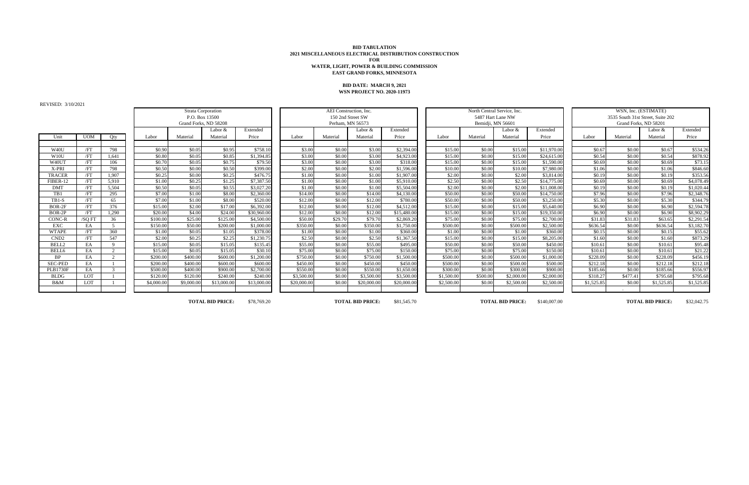REVISED: 3/10/2021

| Unit              | $\overline{UOM}$ | Qty                     |
|-------------------|------------------|-------------------------|
|                   |                  |                         |
| W <sub>40</sub> U | /FT              | 798                     |
| W10U              | /FT              | 1,641                   |
| W40UT             | /FT              | 106                     |
| X-PRI             | /FT              | 798                     |
| <b>TRACER</b>     | /FT              | 1,907                   |
| FIBER-12          | /FT              | 5,910                   |
| <b>DMT</b>        | /FT              | 5,504                   |
| TB1               | /FT              | 295                     |
| <b>TB1-S</b>      | /FT              | 65                      |
| BOR-2F            | /FT              | 376                     |
| BOR-2P            | /FT              | 1,290                   |
| CONC-R            | /SQ FT           | 36                      |
| <b>EXC</b>        | EA               | 5                       |
| <b>WTAPE</b>      | /FT              | 360                     |
| CND <sub>2</sub>  | /FT              | 547                     |
| BELL2             | EA               | 9                       |
| BELL6             | EA               | $\overline{\mathbf{c}}$ |
| <b>BP</b>         | EA               | $\overline{2}$          |
| <b>SEC-PED</b>    | EA               | $\mathbf{1}$            |
| <b>PLB1730F</b>   | EA               | 3                       |
| <b>BLDG</b>       | LOT              | 1                       |
| B&M               | LOT              | 1                       |

|                 | WSN, Inc. (ESTIMATE) |          |                                   |            |  |  |  |  |  |  |  |
|-----------------|----------------------|----------|-----------------------------------|------------|--|--|--|--|--|--|--|
|                 |                      |          | 3535 South 31st Street, Suite 202 |            |  |  |  |  |  |  |  |
|                 |                      |          | Grand Forks, ND 58201             |            |  |  |  |  |  |  |  |
|                 |                      |          | Labor &                           | Extended   |  |  |  |  |  |  |  |
|                 | Labor                | Material | Material                          | Price      |  |  |  |  |  |  |  |
|                 |                      |          |                                   |            |  |  |  |  |  |  |  |
| $\overline{00}$ | \$0.67               | \$0.00   | \$0.67                            | \$534.26   |  |  |  |  |  |  |  |
| $\overline{00}$ | \$0.54               | \$0.00   | \$0.54                            | \$878.92   |  |  |  |  |  |  |  |
| $00\,$          | \$0.69               | \$0.00   | \$0.69                            | \$73.15    |  |  |  |  |  |  |  |
| $\overline{00}$ | \$1.06               | \$0.00   | \$1.06                            | \$846.60   |  |  |  |  |  |  |  |
| $\overline{00}$ | \$0.19               | \$0.00   | \$0.19                            | \$353.56   |  |  |  |  |  |  |  |
| $\overline{00}$ | \$0.69               | \$0.00   | \$0.69                            | \$4,078.49 |  |  |  |  |  |  |  |
| $\overline{00}$ | \$0.19               | \$0.00   | \$0.19                            | \$1,020.44 |  |  |  |  |  |  |  |
| $\overline{00}$ | \$7.96               | \$0.00   | \$7.96                            | \$2,348.76 |  |  |  |  |  |  |  |
| $\overline{00}$ | \$5.30               | \$0.00   | \$5.30                            | \$344.79   |  |  |  |  |  |  |  |
| $\overline{00}$ | \$6.90               | \$0.00   | \$6.90                            | \$2,594.78 |  |  |  |  |  |  |  |
| $\overline{00}$ | \$6.90               | \$0.00   | \$6.90                            | \$8,902.29 |  |  |  |  |  |  |  |
| $\overline{00}$ | \$31.83              | \$31.83  | \$63.65                           | \$2,291.54 |  |  |  |  |  |  |  |
| $\overline{00}$ | \$636.54             | \$0.00   | \$636.54                          | \$3,182.70 |  |  |  |  |  |  |  |
| $\overline{00}$ | \$0.15               | \$0.00   | \$0.15                            | \$55.62    |  |  |  |  |  |  |  |
| $\overline{00}$ | \$1.60               | \$0.00   | \$1.60                            | \$873.29   |  |  |  |  |  |  |  |
| $\overline{00}$ | \$10.61              | \$0.00   | \$10.61                           | \$95.48    |  |  |  |  |  |  |  |
| $\overline{00}$ | \$10.61              | \$0.00   | \$10.61                           | \$21.22    |  |  |  |  |  |  |  |
| $\overline{00}$ | \$228.09             | \$0.00   | \$228.09                          | \$456.19   |  |  |  |  |  |  |  |
| $\overline{00}$ | \$212.18             | \$0.00   | \$212.18                          | \$212.18   |  |  |  |  |  |  |  |
| $\overline{00}$ | \$185.66             | \$0.00   | \$185.66                          | \$556.97   |  |  |  |  |  |  |  |
| $00\,$          | \$318.27             | \$477.41 | \$795.68                          | \$795.68   |  |  |  |  |  |  |  |
| $00\,$          | \$1,525.85           | \$0.00   | \$1,525.85                        | \$1,525.85 |  |  |  |  |  |  |  |
|                 |                      |          |                                   |            |  |  |  |  |  |  |  |

#### **BID TABULATION 2021 MISCELLANEOUS ELECTRICAL DISTRIBUTION CONSTRUCTION FOR WATER, LIGHT, POWER & BUILDING COMMISSION EAST GRAND FORKS, MINNESOTA**

\$78,769.20 \$81,545.70 \$140,007.00 \$32,042.75 **TOTAL BID PRICE: TOTAL BID PRICE: TOTAL BID PRICE: TOTAL BID PRICE:**

#### **BID DATE: MARCH 9, 2021 WSN PROJECT NO. 2020-11973**

Labor & Extended | | | | Labor & Extended | | Labor & Extended | Labor & Extended | Labor & Extended Unit | UOM | Qty | | Labor | Material Material Price | Labor | Material Material Price | Labor | Material Price | Labor | Material Material Price W40U | /FT | 798 | | \$0.90 \$0.05 \$0.95 \$758.10 | \$3.00 \$0.00 \$3.00 \$2,394.00 | \$15.00 \$0.00 \$11,970.00 \$0.67 \$0.67 \$0.67 \$534.26 W10U | /FT | 1,641 | \$0.80| \$0.05| \$0.85| \$1,394.85 | \$3.00| \$3.00| \$4,923.00 \$4,923.00 \$15.00| \$24,615.00 \$24,615.00 \$0.54 \$0.00| \$0.54 \$878.92 W40UT | /FT | 106 | | \$0.70 \$0.05 \$0.75 \$79.50 | \$3.00 \$0.00 \$3.00 \$318.00 \$15.00 \$15.00 \$15.00 \$1,590.00 | \$0.69 \$0.69 \$73.15 X-PRI | /FT | 798 | \$0.50 \$0.00 \$0.50 \$0.90 \$0.90 \$2.00 \$2.00 \$2.00 \$1,596.00 \$1.000 \$10.00 \$10.00 \$7,980.00 \$1.06 \$1.06 \$1.06 \$846.60 TRACER | /FT | 1,907 | | \$0.25 \$0.00 \$0.25 \$476.75 | \$1.00 \$0.00 \$1.00 \$1,907.00 | \$2.00 \$0.00 \$2.00 \$3,814.00 \$3,814.00 | \$0.19 \$0.00 \$0.19 \$353.56 FIBER-12 /FT 5,910 \$1.00 \$0.25 \$1.25 \$7,387.50 \$1.00 \$0.00 \$1.00 \$5,910.00 \$2.50 \$0.00 \$2.50 \$14,775.00 \$0.69 \$0.00 \$0.69 \$4,078.49 DMT /FT 5,504 \$0.50 \$0.05 \$0.55 \$3,027.20 \$1.00 \$0.00 \$1.00 \$5,504.00 \$2.00 \$0.00 \$2.00 \$11,008.00 \$0.19 \$0.00 \$0.19 \$1,020.44 TB1 | /FT | 295 | | \$7.00 \$1.00 \$8.00 \$2,360.00 | \$14.00 \$0.00 \$14.00 \$4,130.00 } \$50.00 \$0.00 \$14,750.00 \$14,750.00 | \$7.96 \$0.00 \$7.96 \$2,348.76 TB1-S | /FT | 65 | | \$7.00 \$1.00 \$8.00 \$8.00 \$520.00 \$12.00 \$0.00 \$12.00 \$780.00 \$50.00 \$0.00 \$0.00 \$3,250.00 \$3,250.00 \$5.30 \$0.00 \$5.30 \$344.79 BOR-2F /FT 376 \$15.00 \$2.00 \$17.00 \$6,392.00 \$12.00 \$0.00 \$12.00 \$4,512.00 \$15.00 \$0.00 \$15.00 \$5,640.00 \$6.90 \$0.00 \$6.90 \$2,594.78 BOR-2P /FT 1,290 \$20.00 \$4.00 \$24.00 \$30,960.00 \$12.00 \$0.00 \$12.00 \$15,480.00 \$15.00 \$0.00 \$15.00 \$19,350.00 \$6.90 \$0.00 \$6.90 \$8,902.29 CONC-R | /SQ FT | 36 | | \$100.00 \$25.00 \$25.00 \$125.00 \$4,500.00 | \$50.00 \$29.70 \$79.70 \$2,869.20 | \$75.00 \$0.00 \$2,700.00 \$2,700.00 | \$31.83 \$31.83 \$63.65 \$2,291.54 EXC | EA | 5 | | \$150.00 \$50.00 \$200.00 \$1,000.00 | \$350.00 \$0.00 \$350.00 \$1,750.00 \$0.000 \$0.00 \$500.00 \$2,500.00 | \$636.54 \$0.00 \$636.54 \$3,182.70 WTAPE | /FT | 360 | | \$1.00 \$0.05 \$1.05 \$1.05 \$378.00 \$1.00 \$0.00 \$1.00 \$1.00 \$360.00 \$1.00 \$1.00 \$1.00 \$1.00 \$1.00 \$1.00 \$0.15 \$0.15 \$55.62 CND2 | /FT | 547 | | \$2.00 \$0.25 \$2.25 \$1,230.75 | \$2.50 \$0.00 \$2.50 \$1,367.50 | \$15.00 \$0.00 \$15.00 \$8,205.00 | \$1.60 \$0.00 \$1.60 \$873.29 BELL2 | EA | 9 | | \$15.00| \$0.05| \$15.05| \$135.45 | \$55.00| \$0.00| \$495.00| \$55.00| \$0.00| \$0.00| \$10.61 \$0.00| \$10.61 \$95.48 BELL6 | EA | 2 | | \$15.00 \$10.61 \$15.05 \$15.05 \$30.10 \$75.00 \$0.00 \$75.00 \$150.00 \$150.00 \$0.00 \$10.61 \$10.61 \$21.22 \$21.22 BP | EA | 2 | | \$200.00 \$400.00 \$600.00 \$1,200.00 | \$750.00 \$0.00 \$750.00 \$1,500.00 \$0.00 \$0.00 \$0.00 \$0.000 \$0.000 \$228.09 \$238.09 \$456.19 SEC-PED | EA | 1 | \$200.00 \$400.00 \$600.00 \$600.00 | \$450.00 \$0.00 \$450.00 \$450.00 \$500.00 \$0.00 \$0.00 \$500.00 \$500.00 \$500.00 \$212.18 \$212.18 \$212.18 PLB1730F | EA | 3 | | \$500.00 \$400.00 \$900.00 \$2,700.00 | \$550.00 \$0.00 \$0.00 \$1,650.00 \$300.00 \$0.00 \$0.00 \$000.00 \$900.00 \$185.66 \$0.00 \$185.66 \$556.97 BLDG | LOT | 1 | \$120.00 \$120.00 \$240.00 \$240.00 \$23,500.00 \$0.00 \$3,500.00 \$3,500.00 \$1,500.00 \$500.00 \$2,000.00 \$2,000.00 \$2,000.00 \$318.27 \$477.41 \$795.68 \$795.68 B&M | LOT | 1 | \$4,000.00| \$9,000.00| \$13,000.00| \$13,000.00| \$20,000.00| \$20,000.00| \$20,000.00| \$2,500.00| \$2,500.00| \$2,500.00| \$2,500.00| \$1,525.85| \$0.00| \$1,525.85| \$1,525.85| \$1,525.85 Strata Corporation **AEI Construction, Inc.** North Central Service, Inc. North Central Service, Inc. P.O. Box 13500 150 2nd Street SW 5487 Hart Lane NW 3535 South 31st Street, Suite 202 Grand Forks, ND 58208 Serbest Number 2012 Rerham, MN 56573 Perham, MN 56573 Bemidji, MN 56601 Grand Forks, ND 58201